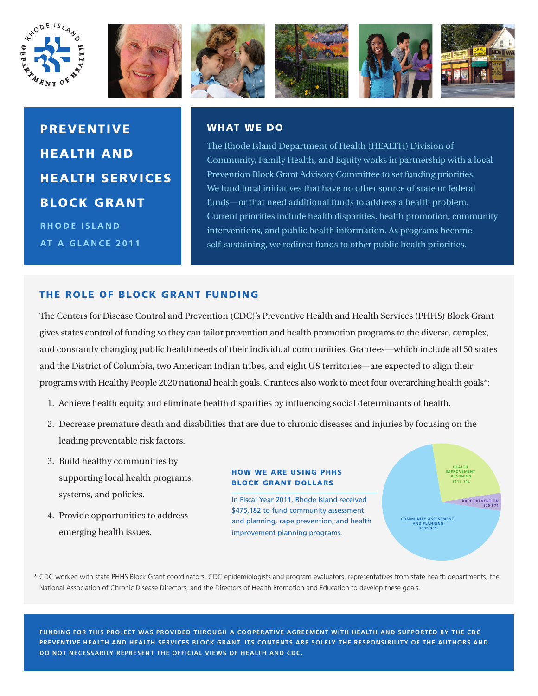









PREVENTIVE HEALTH AND HEALTH SERVICES BLOCK GRANT **RHODE ISLAND AT A GLANCE 2011**

## WHAT WE DO

The Rhode Island Department of Health (HEALTH) Division of Community, Family Health, and Equity works in partnership with a local Prevention Block Grant Advisory Committee to set funding priorities. We fund local initiatives that have no other source of state or federal funds—or that need additional funds to address a health problem. Current priorities include health disparities, health promotion, community interventions, and public health information. As programs become self-sustaining, we redirect funds to other public health priorities.

# THE ROLE OF BLOCK GRANT FUNDING

The Centers for Disease Control and Prevention (CDC)'s Preventive Health and Health Services (PHHS) Block Grant gives states control of funding so they can tailor prevention and health promotion programs to the diverse, complex, and constantly changing public health needs of their individual communities. Grantees—which include all 50 states and the District of Columbia, two American Indian tribes, and eight US territories—are expected to align their programs with Healthy People 2020 national health goals. Grantees also work to meet four overarching health goals\*:

- 1. Achieve health equity and eliminate health disparities by influencing social determinants of health.
- 2. Decrease premature death and disabilities that are due to chronic diseases and injuries by focusing on the leading preventable risk factors.
- 3. Build healthy communities by supporting local health programs, systems, and policies.
- 4. Provide opportunities to address emerging health issues.

### HOW WE ARE USING PHHS BLOCK GRANT DOLLARS

In Fiscal Year 2011, Rhode Island received \$475,182 to fund community assessment and planning, rape prevention, and health improvement planning programs.



\* CDC worked with state PHHS Block Grant coordinators, CDC epidemiologists and program evaluators, representatives from state health departments, the National Association of Chronic Disease Directors, and the Directors of Health Promotion and Education to develop these goals.

**FUNDING FOR THIS PROJECT WAS PROVIDED THROUGH A COOPERATIVE AGREEMENT WITH HEALTH AND SUPPORTED BY THE CDC PREVENTIVE HEALTH AND HEALTH SERVICES BLOCK GRANT. ITS CONTENTS ARE SOLELY THE RESPONSIBILITY OF THE AUTHORS AND DO NOT NECESSARILY REPRESENT THE OFFICIAL VIEWS OF HEALTH AND CDC.**